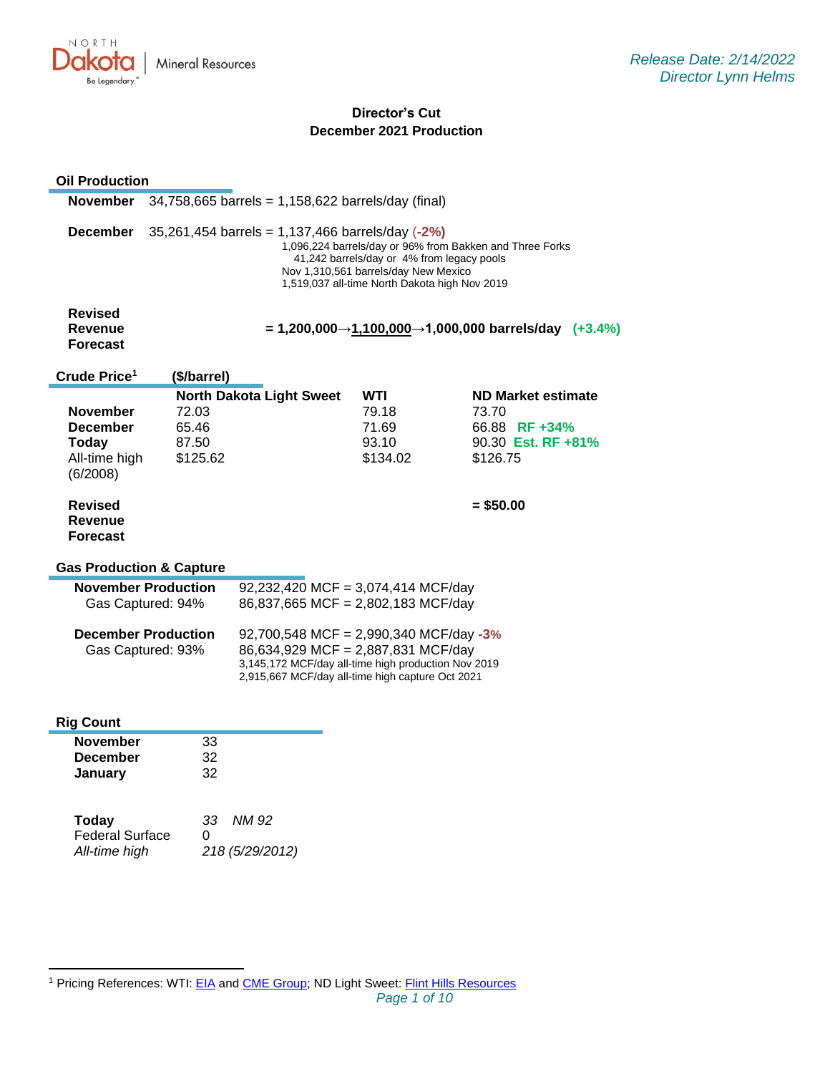

# **Director's Cut December 2021 Production**

| <b>Oil Production</b>                                                    |                                                                                                                                                                                                                                                     |                                                                                                                                                                                         |                                            |                                                                                       |  |
|--------------------------------------------------------------------------|-----------------------------------------------------------------------------------------------------------------------------------------------------------------------------------------------------------------------------------------------------|-----------------------------------------------------------------------------------------------------------------------------------------------------------------------------------------|--------------------------------------------|---------------------------------------------------------------------------------------|--|
| November                                                                 |                                                                                                                                                                                                                                                     | $34,758,665$ barrels = 1,158,622 barrels/day (final)                                                                                                                                    |                                            |                                                                                       |  |
| December                                                                 | 35,261,454 barrels = 1,137,466 barrels/day (-2%)<br>1,096,224 barrels/day or 96% from Bakken and Three Forks<br>41,242 barrels/day or 4% from legacy pools<br>Nov 1,310,561 barrels/day New Mexico<br>1,519,037 all-time North Dakota high Nov 2019 |                                                                                                                                                                                         |                                            |                                                                                       |  |
| <b>Revised</b><br>Revenue<br><b>Forecast</b>                             |                                                                                                                                                                                                                                                     |                                                                                                                                                                                         |                                            | $= 1,200,000 \rightarrow 1,100,000 \rightarrow 1,000,000$ barrels/day (+3.4%)         |  |
| Crude Price <sup>1</sup>                                                 | (\$/barrel)                                                                                                                                                                                                                                         |                                                                                                                                                                                         |                                            |                                                                                       |  |
| November<br><b>December</b><br><b>Today</b><br>All-time high<br>(6/2008) | 72.03<br>65.46<br>87.50<br>\$125.62                                                                                                                                                                                                                 | <b>North Dakota Light Sweet</b>                                                                                                                                                         | WTI<br>79.18<br>71.69<br>93.10<br>\$134.02 | <b>ND Market estimate</b><br>73.70<br>66.88 RF +34%<br>90.30 Est. RF +81%<br>\$126.75 |  |
| <b>Revised</b><br>Revenue<br><b>Forecast</b>                             |                                                                                                                                                                                                                                                     |                                                                                                                                                                                         |                                            | $=$ \$50.00                                                                           |  |
| <b>Gas Production &amp; Capture</b>                                      |                                                                                                                                                                                                                                                     |                                                                                                                                                                                         |                                            |                                                                                       |  |
| <b>November Production</b><br>Gas Captured: 94%                          |                                                                                                                                                                                                                                                     | 92,232,420 MCF = 3,074,414 MCF/day<br>86,837,665 MCF = 2,802,183 MCF/day                                                                                                                |                                            |                                                                                       |  |
| <b>December Production</b><br>Gas Captured: 93%                          |                                                                                                                                                                                                                                                     | 92,700,548 MCF = 2,990,340 MCF/day -3%<br>86,634,929 MCF = 2,887,831 MCF/day<br>3,145,172 MCF/day all-time high production Nov 2019<br>2,915,667 MCF/day all-time high capture Oct 2021 |                                            |                                                                                       |  |
| <b>Rig Count</b>                                                         |                                                                                                                                                                                                                                                     |                                                                                                                                                                                         |                                            |                                                                                       |  |
| <b>November</b><br><b>December</b><br>January                            | 33<br>32<br>32                                                                                                                                                                                                                                      |                                                                                                                                                                                         |                                            |                                                                                       |  |
| Today<br><b>Federal Surface</b><br>All-time high                         | 33<br>0                                                                                                                                                                                                                                             | NM 92<br>218 (5/29/2012)                                                                                                                                                                |                                            |                                                                                       |  |

<sup>&</sup>lt;sup>1</sup> Pricing References: WTI: [EIA](https://www.eia.gov/dnav/pet/hist/LeafHandler.ashx?n=PET&s=RCLC1&f=M) and [CME Group;](https://www.cmegroup.com/trading/energy/crude-oil/light-sweet-crude.html) ND Light Sweet: [Flint Hills Resources](https://www.fhr.com/products-services/fuels-and-aromatics)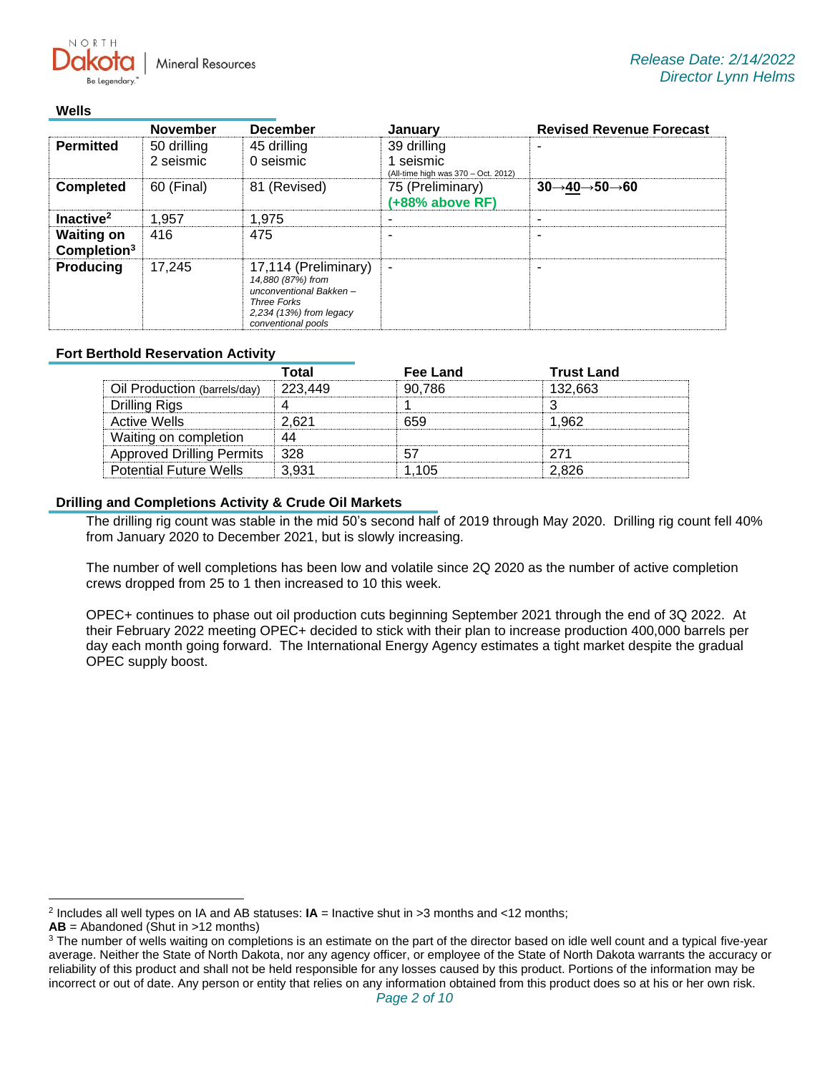**Mineral Resources** 

#### **Wells**

NORTH

|                                              | <b>December</b><br><b>November</b><br>January |                                                                                                                                     | <b>Revised Revenue Forecast</b>                                 |                                                   |
|----------------------------------------------|-----------------------------------------------|-------------------------------------------------------------------------------------------------------------------------------------|-----------------------------------------------------------------|---------------------------------------------------|
| <b>Permitted</b>                             | 50 drilling<br>2 seismic                      | 45 drilling<br>0 seismic                                                                                                            | 39 drilling<br>1 seismic<br>(All-time high was 370 - Oct. 2012) |                                                   |
| <b>Completed</b>                             | 60 (Final)                                    | 81 (Revised)                                                                                                                        | 75 (Preliminary)<br>(+88% above RF)                             | $30 \rightarrow 40 \rightarrow 50 \rightarrow 60$ |
| Inactive <sup>2</sup>                        | 1,957                                         | 1.975                                                                                                                               |                                                                 |                                                   |
| <b>Waiting on</b><br>Completion <sup>3</sup> | 416                                           | 475                                                                                                                                 |                                                                 |                                                   |
| <b>Producing</b>                             | 17.245                                        | 17,114 (Preliminary)<br>14,880 (87%) from<br>unconventional Bakken-<br>Three Forks<br>2,234 (13%) from legacy<br>conventional pools | $\blacksquare$                                                  |                                                   |

## **Fort Berthold Reservation Activity**

|                                  | Total   | Fee Land | <b>Trust Land</b> |
|----------------------------------|---------|----------|-------------------|
| Oil Production (barrels/day)     | 223.449 | 90.786   | 132.663           |
| Drilling Rigs                    |         |          |                   |
| Active Wells                     | 2.621   | 659      | 1.962             |
| Waiting on completion            | 44      |          |                   |
| <b>Approved Drilling Permits</b> | - 328   |          | 271               |
| <b>Potential Future Wells</b>    | -3.931  | 1 105    | 2.826             |

## **Drilling and Completions Activity & Crude Oil Markets**

The drilling rig count was stable in the mid 50's second half of 2019 through May 2020. Drilling rig count fell 40% from January 2020 to December 2021, but is slowly increasing.

The number of well completions has been low and volatile since 2Q 2020 as the number of active completion crews dropped from 25 to 1 then increased to 10 this week.

OPEC+ continues to phase out oil production cuts beginning September 2021 through the end of 3Q 2022. At their February 2022 meeting OPEC+ decided to stick with their plan to increase production 400,000 barrels per day each month going forward. The International Energy Agency estimates a tight market despite the gradual OPEC supply boost.

<sup>2</sup> Includes all well types on IA and AB statuses: **IA** = Inactive shut in >3 months and <12 months;

**AB** = Abandoned (Shut in >12 months)

<sup>&</sup>lt;sup>3</sup> The number of wells waiting on completions is an estimate on the part of the director based on idle well count and a typical five-year average. Neither the State of North Dakota, nor any agency officer, or employee of the State of North Dakota warrants the accuracy or reliability of this product and shall not be held responsible for any losses caused by this product. Portions of the information may be incorrect or out of date. Any person or entity that relies on any information obtained from this product does so at his or her own risk.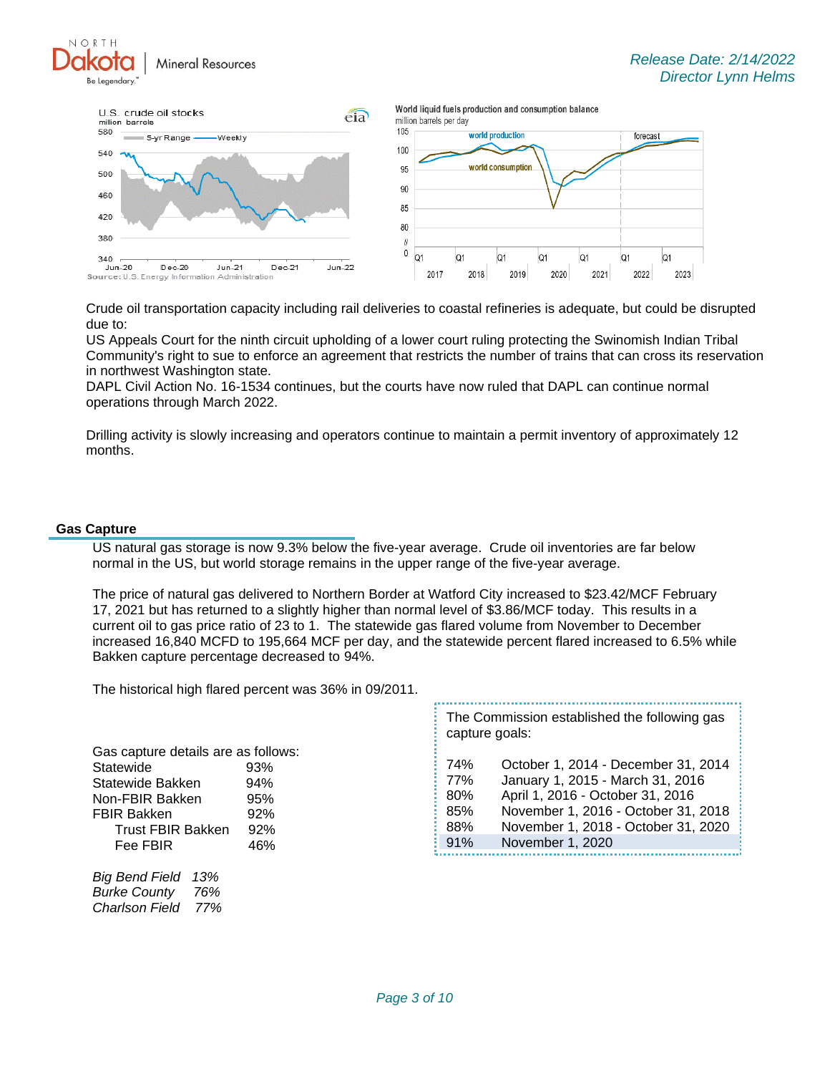



Crude oil transportation capacity including rail deliveries to coastal refineries is adequate, but could be disrupted due to:

US Appeals Court for the ninth circuit upholding of a lower court ruling protecting the Swinomish Indian Tribal Community's right to sue to enforce an agreement that restricts the number of trains that can cross its reservation in northwest Washington state.

DAPL Civil Action No. 16-1534 continues, but the courts have now ruled that DAPL can continue normal operations through March 2022.

Drilling activity is slowly increasing and operators continue to maintain a permit inventory of approximately 12 months.

#### **Gas Capture**

US natural gas storage is now 9.3% below the five-year average. Crude oil inventories are far below normal in the US, but world storage remains in the upper range of the five-year average.

The price of natural gas delivered to Northern Border at Watford City increased to \$23.42/MCF February 17, 2021 but has returned to a slightly higher than normal level of \$3.86/MCF today. This results in a current oil to gas price ratio of 23 to 1. The statewide gas flared volume from November to December increased 16,840 MCFD to 195,664 MCF per day, and the statewide percent flared increased to 6.5% while Bakken capture percentage decreased to 94%.

The historical high flared percent was 36% in 09/2011.

Gas capture details are as follows: Statewide 93% Statewide Bakken 94% Non-FBIR Bakken 95% FBIR Bakken 92% Trust FBIR Bakken 92% Fee FBIR
16%

*Big Bend Field 13% Burke County 76% Charlson Field 77%* The Commission established the following gas capture goals:

| 74% | October 1, 2014 - December 31, 2014 |
|-----|-------------------------------------|
| 77% | January 1, 2015 - March 31, 2016    |
| 80% | April 1, 2016 - October 31, 2016    |
| 85% | November 1, 2016 - October 31, 2018 |
| 88% | November 1, 2018 - October 31, 2020 |
| 91% | November 1, 2020                    |
|     |                                     |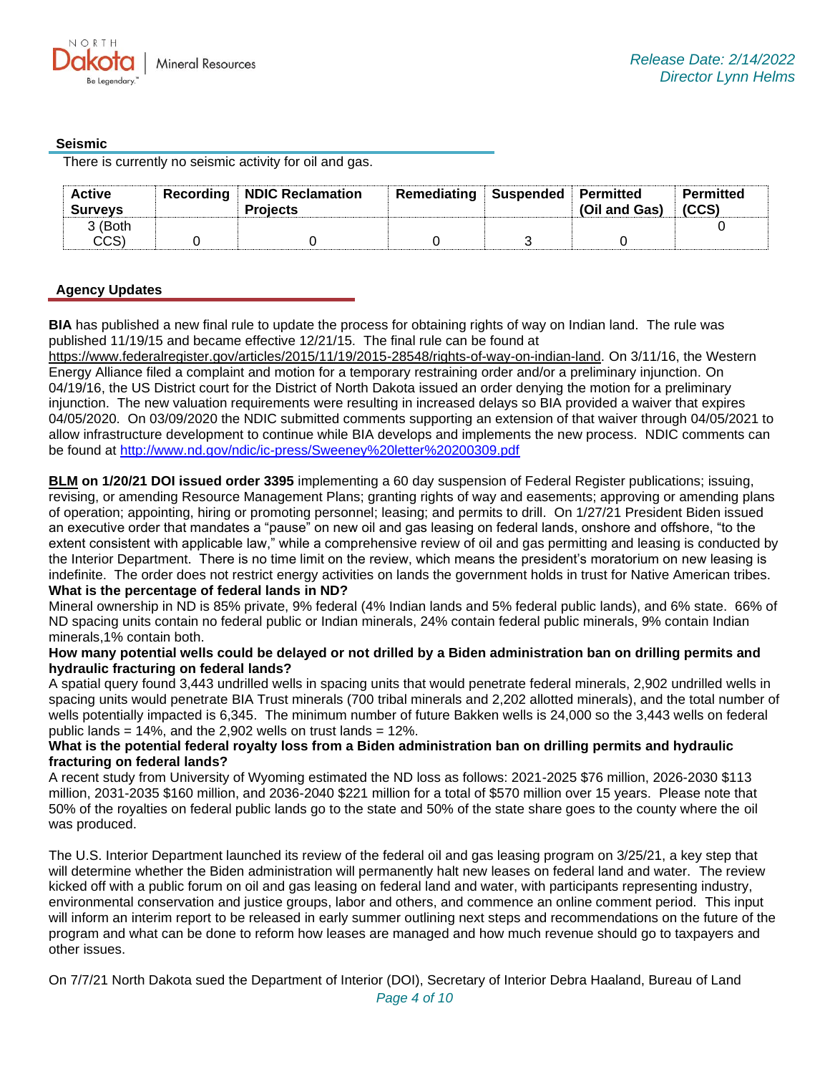## **Seismic**

There is currently no seismic activity for oil and gas.

| <b>Active</b><br><b>Surveys</b> | Recording NDIC Reclamation<br><b>Projects</b> | Remediating | Suspended Permitted | (Oil and Gas) | Permitted<br>(CCS) |
|---------------------------------|-----------------------------------------------|-------------|---------------------|---------------|--------------------|
| 3 (Both                         |                                               |             |                     |               |                    |
| CCS)                            |                                               |             |                     |               |                    |

# **Agency Updates**

**BIA** has published a new final rule to update the process for obtaining rights of way on Indian land. The rule was published 11/19/15 and became effective 12/21/15. The final rule can be found at

[https://www.federalregister.gov/articles/2015/11/19/2015-28548/rights-of-way-on-indian-land.](https://gcc02.safelinks.protection.outlook.com/?url=https%3A%2F%2Fwww.federalregister.gov%2Farticles%2F2015%2F11%2F19%2F2015-28548%2Frights-of-way-on-indian-land&data=04%7C01%7Ckahaarsager%40nd.gov%7C2843a5ddf6fa49f952aa08d9efd07d36%7C2dea0464da514a88bae2b3db94bc0c54%7C0%7C0%7C637804501028737375%7CUnknown%7CTWFpbGZsb3d8eyJWIjoiMC4wLjAwMDAiLCJQIjoiV2luMzIiLCJBTiI6Ik1haWwiLCJXVCI6Mn0%3D%7C3000&sdata=N5m26Iz5l%2BJTO2HanBNiHiFCkUrchlxVffwQSnhHCKA%3D&reserved=0) On 3/11/16, the Western Energy Alliance filed a complaint and motion for a temporary restraining order and/or a preliminary injunction. On 04/19/16, the US District court for the District of North Dakota issued an order denying the motion for a preliminary injunction. The new valuation requirements were resulting in increased delays so BIA provided a waiver that expires 04/05/2020. On 03/09/2020 the NDIC submitted comments supporting an extension of that waiver through 04/05/2021 to allow infrastructure development to continue while BIA develops and implements the new process. NDIC comments can be found at<http://www.nd.gov/ndic/ic-press/Sweeney%20letter%20200309.pdf>

**BLM on 1/20/21 DOI issued order 3395** implementing a 60 day suspension of Federal Register publications; issuing, revising, or amending Resource Management Plans; granting rights of way and easements; approving or amending plans of operation; appointing, hiring or promoting personnel; leasing; and permits to drill. On 1/27/21 President Biden issued an executive order that mandates a "pause" on new oil and gas leasing on federal lands, onshore and offshore, "to the extent consistent with applicable law," while a comprehensive review of oil and gas permitting and leasing is conducted by the Interior Department. There is no time limit on the review, which means the president's moratorium on new leasing is indefinite. The order does not restrict energy activities on lands the government holds in trust for Native American tribes. **What is the percentage of federal lands in ND?**

Mineral ownership in ND is 85% private, 9% federal (4% Indian lands and 5% federal public lands), and 6% state. 66% of ND spacing units contain no federal public or Indian minerals, 24% contain federal public minerals, 9% contain Indian minerals,1% contain both.

#### **How many potential wells could be delayed or not drilled by a Biden administration ban on drilling permits and hydraulic fracturing on federal lands?**

A spatial query found 3,443 undrilled wells in spacing units that would penetrate federal minerals, 2,902 undrilled wells in spacing units would penetrate BIA Trust minerals (700 tribal minerals and 2,202 allotted minerals), and the total number of wells potentially impacted is 6,345. The minimum number of future Bakken wells is 24,000 so the 3,443 wells on federal public lands =  $14\%$ , and the 2,902 wells on trust lands =  $12\%$ .

## **What is the potential federal royalty loss from a Biden administration ban on drilling permits and hydraulic fracturing on federal lands?**

A recent study from University of Wyoming estimated the ND loss as follows: 2021-2025 \$76 million, 2026-2030 \$113 million, 2031-2035 \$160 million, and 2036-2040 \$221 million for a total of \$570 million over 15 years. Please note that 50% of the royalties on federal public lands go to the state and 50% of the state share goes to the county where the oil was produced.

The U.S. Interior Department launched its review of the federal oil and gas leasing program on 3/25/21, a key step that will determine whether the Biden administration will permanently halt new leases on federal land and water. The review kicked off with a public forum on oil and gas leasing on federal land and water, with participants representing industry, environmental conservation and justice groups, labor and others, and commence an online comment period. This input will inform an interim report to be released in early summer outlining next steps and recommendations on the future of the program and what can be done to reform how leases are managed and how much revenue should go to taxpayers and other issues.

On 7/7/21 North Dakota sued the Department of Interior (DOI), Secretary of Interior Debra Haaland, Bureau of Land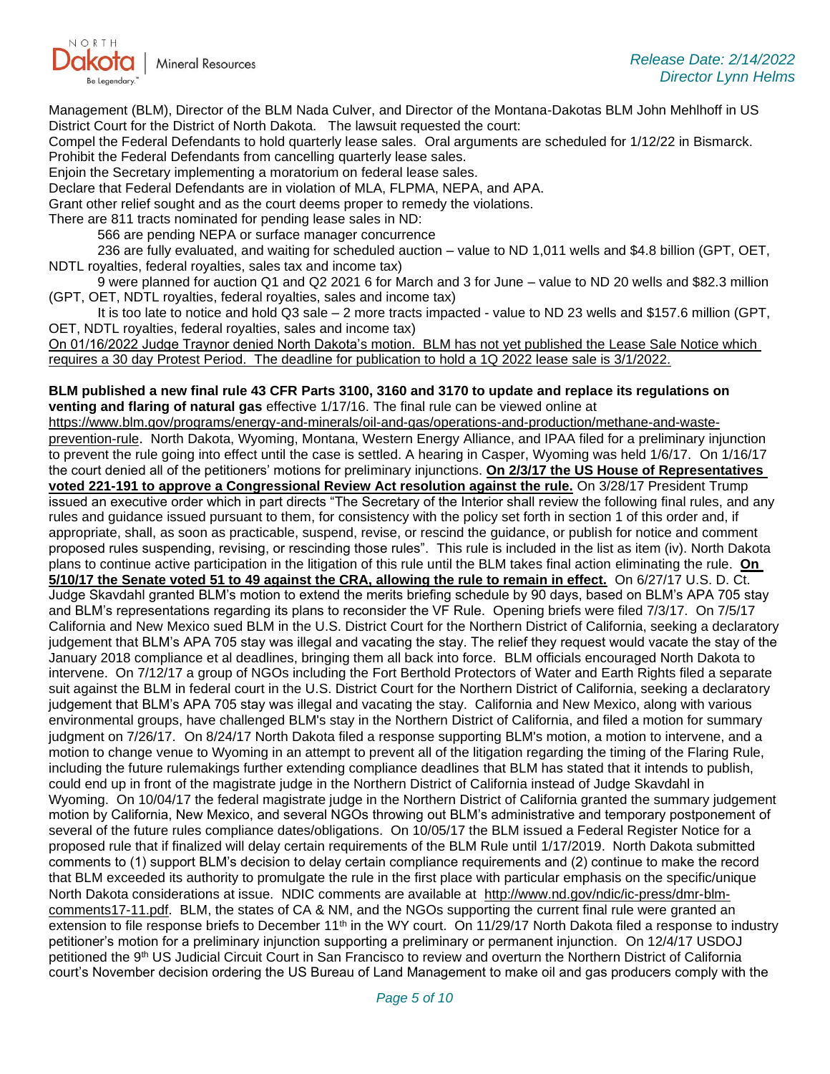

Management (BLM), Director of the BLM Nada Culver, and Director of the Montana-Dakotas BLM John Mehlhoff in US District Court for the District of North Dakota. The lawsuit requested the court:

Compel the Federal Defendants to hold quarterly lease sales. Oral arguments are scheduled for 1/12/22 in Bismarck. Prohibit the Federal Defendants from cancelling quarterly lease sales.

Enjoin the Secretary implementing a moratorium on federal lease sales.

Declare that Federal Defendants are in violation of MLA, FLPMA, NEPA, and APA.

Grant other relief sought and as the court deems proper to remedy the violations.

There are 811 tracts nominated for pending lease sales in ND:

566 are pending NEPA or surface manager concurrence

236 are fully evaluated, and waiting for scheduled auction – value to ND 1,011 wells and \$4.8 billion (GPT, OET, NDTL royalties, federal royalties, sales tax and income tax)

9 were planned for auction Q1 and Q2 2021 6 for March and 3 for June – value to ND 20 wells and \$82.3 million (GPT, OET, NDTL royalties, federal royalties, sales and income tax)

It is too late to notice and hold Q3 sale – 2 more tracts impacted - value to ND 23 wells and \$157.6 million (GPT, OET, NDTL royalties, federal royalties, sales and income tax)

On 01/16/2022 Judge Traynor denied North Dakota's motion. BLM has not yet published the Lease Sale Notice which requires a 30 day Protest Period. The deadline for publication to hold a 1Q 2022 lease sale is 3/1/2022.

#### **BLM published a new final rule 43 CFR Parts 3100, 3160 and 3170 to update and replace its regulations on venting and flaring of natural gas** effective 1/17/16. The final rule can be viewed online at

[https://www.blm.gov/programs/energy-and-minerals/oil-and-gas/operations-and-production/methane-and-waste](https://gcc02.safelinks.protection.outlook.com/?url=https%3A%2F%2Fwww.blm.gov%2Fprograms%2Fenergy-and-minerals%2Foil-and-gas%2Foperations-and-production%2Fmethane-and-waste-prevention-rule&data=04%7C01%7Ckahaarsager%40nd.gov%7C2843a5ddf6fa49f952aa08d9efd07d36%7C2dea0464da514a88bae2b3db94bc0c54%7C0%7C0%7C637804501028737375%7CUnknown%7CTWFpbGZsb3d8eyJWIjoiMC4wLjAwMDAiLCJQIjoiV2luMzIiLCJBTiI6Ik1haWwiLCJXVCI6Mn0%3D%7C3000&sdata=Y%2Fe34mozaPHFgVXJZnSzI60HxXUoITzOtsAznmWUDcA%3D&reserved=0)[prevention-rule](https://gcc02.safelinks.protection.outlook.com/?url=https%3A%2F%2Fwww.blm.gov%2Fprograms%2Fenergy-and-minerals%2Foil-and-gas%2Foperations-and-production%2Fmethane-and-waste-prevention-rule&data=04%7C01%7Ckahaarsager%40nd.gov%7C2843a5ddf6fa49f952aa08d9efd07d36%7C2dea0464da514a88bae2b3db94bc0c54%7C0%7C0%7C637804501028737375%7CUnknown%7CTWFpbGZsb3d8eyJWIjoiMC4wLjAwMDAiLCJQIjoiV2luMzIiLCJBTiI6Ik1haWwiLCJXVCI6Mn0%3D%7C3000&sdata=Y%2Fe34mozaPHFgVXJZnSzI60HxXUoITzOtsAznmWUDcA%3D&reserved=0). North Dakota, Wyoming, Montana, Western Energy Alliance, and IPAA filed for a preliminary injunction to prevent the rule going into effect until the case is settled. A hearing in Casper, Wyoming was held 1/6/17. On 1/16/17 the court denied all of the petitioners' motions for preliminary injunctions. **On 2/3/17 the US House of Representatives voted 221-191 to approve a Congressional Review Act resolution against the rule.** On 3/28/17 President Trump issued an executive order which in part directs "The Secretary of the Interior shall review the following final rules, and any rules and guidance issued pursuant to them, for consistency with the policy set forth in section 1 of this order and, if appropriate, shall, as soon as practicable, suspend, revise, or rescind the guidance, or publish for notice and comment proposed rules suspending, revising, or rescinding those rules". This rule is included in the list as item (iv). North Dakota plans to continue active participation in the litigation of this rule until the BLM takes final action eliminating the rule. **On 5/10/17 the Senate voted 51 to 49 against the CRA, allowing the rule to remain in effect.** On 6/27/17 U.S. D. Ct. Judge Skavdahl granted BLM's motion to extend the merits briefing schedule by 90 days, based on BLM's APA 705 stay and BLM's representations regarding its plans to reconsider the VF Rule. Opening briefs were filed 7/3/17. On 7/5/17 California and New Mexico sued BLM in the U.S. District Court for the Northern District of California, seeking a declaratory judgement that BLM's APA 705 stay was illegal and vacating the stay. The relief they request would vacate the stay of the January 2018 compliance et al deadlines, bringing them all back into force. BLM officials encouraged North Dakota to intervene. On 7/12/17 a group of NGOs including the Fort Berthold Protectors of Water and Earth Rights filed a separate suit against the BLM in federal court in the U.S. District Court for the Northern District of California, seeking a declaratory judgement that BLM's APA 705 stay was illegal and vacating the stay. California and New Mexico, along with various environmental groups, have challenged BLM's stay in the Northern District of California, and filed a motion for summary judgment on 7/26/17. On 8/24/17 North Dakota filed a response supporting BLM's motion, a motion to intervene, and a motion to change venue to Wyoming in an attempt to prevent all of the litigation regarding the timing of the Flaring Rule, including the future rulemakings further extending compliance deadlines that BLM has stated that it intends to publish, could end up in front of the magistrate judge in the Northern District of California instead of Judge Skavdahl in Wyoming. On 10/04/17 the federal magistrate judge in the Northern District of California granted the summary judgement motion by California, New Mexico, and several NGOs throwing out BLM's administrative and temporary postponement of several of the future rules compliance dates/obligations. On 10/05/17 the BLM issued a Federal Register Notice for a proposed rule that if finalized will delay certain requirements of the BLM Rule until 1/17/2019. North Dakota submitted comments to (1) support BLM's decision to delay certain compliance requirements and (2) continue to make the record that BLM exceeded its authority to promulgate the rule in the first place with particular emphasis on the specific/unique North Dakota considerations at issue. NDIC comments are available at [http://www.nd.gov/ndic/ic-press/dmr-blm](http://www.nd.gov/ndic/ic-press/dmr-blm-comments17-11.pdf)[comments17-11.pdf.](http://www.nd.gov/ndic/ic-press/dmr-blm-comments17-11.pdf) BLM, the states of CA & NM, and the NGOs supporting the current final rule were granted an extension to file response briefs to December  $11<sup>th</sup>$  in the WY court. On  $11/29/17$  North Dakota filed a response to industry petitioner's motion for a preliminary injunction supporting a preliminary or permanent injunction. On 12/4/17 USDOJ petitioned the 9<sup>th</sup> US Judicial Circuit Court in San Francisco to review and overturn the Northern District of California court's November decision ordering the US Bureau of Land Management to make oil and gas producers comply with the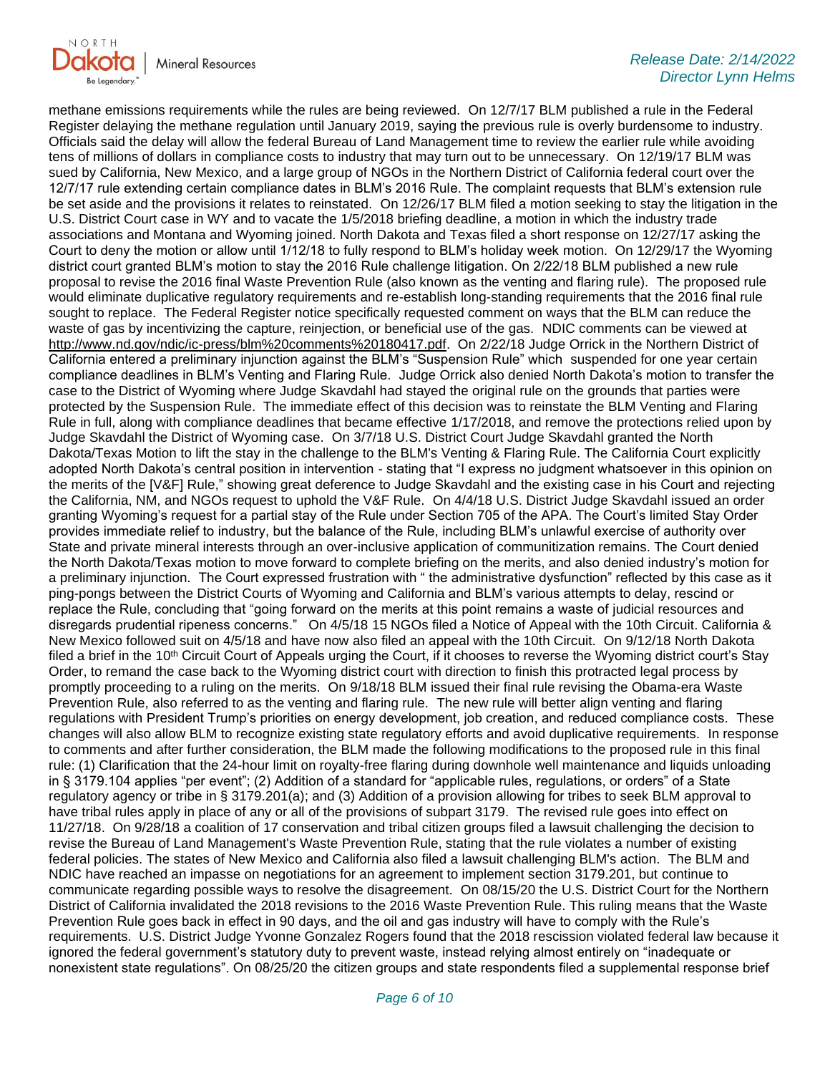

methane emissions requirements while the rules are being reviewed. On 12/7/17 BLM published a rule in the Federal Register delaying the methane regulation until January 2019, saying the previous rule is overly burdensome to industry. Officials said the delay will allow the federal Bureau of Land Management time to review the earlier rule while avoiding tens of millions of dollars in compliance costs to industry that may turn out to be unnecessary. On 12/19/17 BLM was sued by California, New Mexico, and a large group of NGOs in the Northern District of California federal court over the 12/7/17 rule extending certain compliance dates in BLM's 2016 Rule. The complaint requests that BLM's extension rule be set aside and the provisions it relates to reinstated. On 12/26/17 BLM filed a motion seeking to stay the litigation in the U.S. District Court case in WY and to vacate the 1/5/2018 briefing deadline, a motion in which the industry trade associations and Montana and Wyoming joined. North Dakota and Texas filed a short response on 12/27/17 asking the Court to deny the motion or allow until 1/12/18 to fully respond to BLM's holiday week motion. On 12/29/17 the Wyoming district court granted BLM's motion to stay the 2016 Rule challenge litigation. On 2/22/18 BLM published a new rule proposal to revise the 2016 final Waste Prevention Rule (also known as the venting and flaring rule). The proposed rule would eliminate duplicative regulatory requirements and re-establish long-standing requirements that the 2016 final rule sought to replace. The Federal Register notice specifically requested comment on ways that the BLM can reduce the waste of gas by incentivizing the capture, reinjection, or beneficial use of the gas. NDIC comments can be viewed at [http://www.nd.gov/ndic/ic-press/blm%20comments%20180417.pdf.](http://www.nd.gov/ndic/ic-press/blm%20comments%20180417.pdf) On 2/22/18 Judge Orrick in the Northern District of California entered a preliminary injunction against the BLM's "Suspension Rule" which suspended for one year certain compliance deadlines in BLM's Venting and Flaring Rule. Judge Orrick also denied North Dakota's motion to transfer the case to the District of Wyoming where Judge Skavdahl had stayed the original rule on the grounds that parties were protected by the Suspension Rule. The immediate effect of this decision was to reinstate the BLM Venting and Flaring Rule in full, along with compliance deadlines that became effective 1/17/2018, and remove the protections relied upon by Judge Skavdahl the District of Wyoming case. On 3/7/18 U.S. District Court Judge Skavdahl granted the North Dakota/Texas Motion to lift the stay in the challenge to the BLM's Venting & Flaring Rule. The California Court explicitly adopted North Dakota's central position in intervention - stating that "I express no judgment whatsoever in this opinion on the merits of the [V&F] Rule," showing great deference to Judge Skavdahl and the existing case in his Court and rejecting the California, NM, and NGOs request to uphold the V&F Rule. On 4/4/18 U.S. District Judge Skavdahl issued an order granting Wyoming's request for a partial stay of the Rule under Section 705 of the APA. The Court's limited Stay Order provides immediate relief to industry, but the balance of the Rule, including BLM's unlawful exercise of authority over State and private mineral interests through an over-inclusive application of communitization remains. The Court denied the North Dakota/Texas motion to move forward to complete briefing on the merits, and also denied industry's motion for a preliminary injunction. The Court expressed frustration with " the administrative dysfunction" reflected by this case as it ping-pongs between the District Courts of Wyoming and California and BLM's various attempts to delay, rescind or replace the Rule, concluding that "going forward on the merits at this point remains a waste of judicial resources and disregards prudential ripeness concerns." On 4/5/18 15 NGOs filed a Notice of Appeal with the 10th Circuit. California & New Mexico followed suit on 4/5/18 and have now also filed an appeal with the 10th Circuit. On 9/12/18 North Dakota filed a brief in the 10<sup>th</sup> Circuit Court of Appeals urging the Court, if it chooses to reverse the Wyoming district court's Stay Order, to remand the case back to the Wyoming district court with direction to finish this protracted legal process by promptly proceeding to a ruling on the merits. On 9/18/18 BLM issued their final rule revising the Obama-era Waste Prevention Rule, also referred to as the venting and flaring rule. The new rule will better align venting and flaring regulations with President Trump's priorities on energy development, job creation, and reduced compliance costs. These changes will also allow BLM to recognize existing state regulatory efforts and avoid duplicative requirements. In response to comments and after further consideration, the BLM made the following modifications to the proposed rule in this final rule: (1) Clarification that the 24-hour limit on royalty-free flaring during downhole well maintenance and liquids unloading in § 3179.104 applies "per event"; (2) Addition of a standard for "applicable rules, regulations, or orders" of a State regulatory agency or tribe in § 3179.201(a); and (3) Addition of a provision allowing for tribes to seek BLM approval to have tribal rules apply in place of any or all of the provisions of subpart 3179. The revised rule goes into effect on 11/27/18. On 9/28/18 a coalition of 17 conservation and tribal citizen groups filed a lawsuit challenging the decision to revise the Bureau of Land Management's Waste Prevention Rule, stating that the rule violates a number of existing federal policies. The states of New Mexico and California also filed a lawsuit challenging BLM's action. The BLM and NDIC have reached an impasse on negotiations for an agreement to implement section 3179.201, but continue to communicate regarding possible ways to resolve the disagreement. On 08/15/20 the U.S. District Court for the Northern District of California invalidated the 2018 revisions to the 2016 Waste Prevention Rule. This ruling means that the Waste Prevention Rule goes back in effect in 90 days, and the oil and gas industry will have to comply with the Rule's requirements. U.S. District Judge Yvonne Gonzalez Rogers found that the 2018 rescission violated federal law because it ignored the federal government's statutory duty to prevent waste, instead relying almost entirely on "inadequate or nonexistent state regulations". On 08/25/20 the citizen groups and state respondents filed a supplemental response brief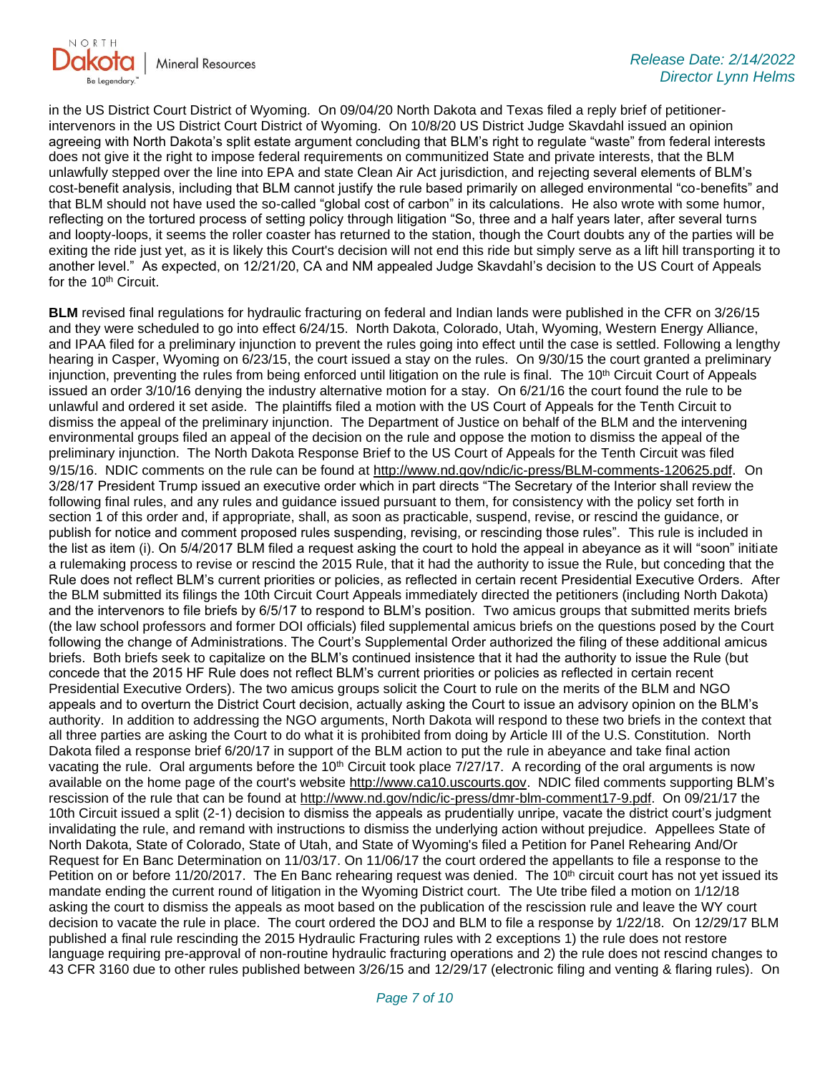

in the US District Court District of Wyoming. On 09/04/20 North Dakota and Texas filed a reply brief of petitionerintervenors in the US District Court District of Wyoming. On 10/8/20 US District Judge Skavdahl issued an opinion agreeing with North Dakota's split estate argument concluding that BLM's right to regulate "waste" from federal interests does not give it the right to impose federal requirements on communitized State and private interests, that the BLM unlawfully stepped over the line into EPA and state Clean Air Act jurisdiction, and rejecting several elements of BLM's cost-benefit analysis, including that BLM cannot justify the rule based primarily on alleged environmental "co-benefits" and that BLM should not have used the so-called "global cost of carbon" in its calculations. He also wrote with some humor, reflecting on the tortured process of setting policy through litigation "So, three and a half years later, after several turns and loopty-loops, it seems the roller coaster has returned to the station, though the Court doubts any of the parties will be exiting the ride just yet, as it is likely this Court's decision will not end this ride but simply serve as a lift hill transporting it to another level." As expected, on 12/21/20, CA and NM appealed Judge Skavdahl's decision to the US Court of Appeals for the 10<sup>th</sup> Circuit.

**BLM** revised final regulations for hydraulic fracturing on federal and Indian lands were published in the CFR on 3/26/15 and they were scheduled to go into effect 6/24/15. North Dakota, Colorado, Utah, Wyoming, Western Energy Alliance, and IPAA filed for a preliminary injunction to prevent the rules going into effect until the case is settled. Following a lengthy hearing in Casper, Wyoming on 6/23/15, the court issued a stay on the rules. On 9/30/15 the court granted a preliminary injunction, preventing the rules from being enforced until litigation on the rule is final. The  $10<sup>th</sup>$  Circuit Court of Appeals issued an order 3/10/16 denying the industry alternative motion for a stay. On 6/21/16 the court found the rule to be unlawful and ordered it set aside. The plaintiffs filed a motion with the US Court of Appeals for the Tenth Circuit to dismiss the appeal of the preliminary injunction. The Department of Justice on behalf of the BLM and the intervening environmental groups filed an appeal of the decision on the rule and oppose the motion to dismiss the appeal of the preliminary injunction. The North Dakota Response Brief to the US Court of Appeals for the Tenth Circuit was filed 9/15/16. NDIC comments on the rule can be found at<http://www.nd.gov/ndic/ic-press/BLM-comments-120625.pdf>. On 3/28/17 President Trump issued an executive order which in part directs "The Secretary of the Interior shall review the following final rules, and any rules and guidance issued pursuant to them, for consistency with the policy set forth in section 1 of this order and, if appropriate, shall, as soon as practicable, suspend, revise, or rescind the guidance, or publish for notice and comment proposed rules suspending, revising, or rescinding those rules". This rule is included in the list as item (i). On 5/4/2017 BLM filed a request asking the court to hold the appeal in abeyance as it will "soon" initiate a rulemaking process to revise or rescind the 2015 Rule, that it had the authority to issue the Rule, but conceding that the Rule does not reflect BLM's current priorities or policies, as reflected in certain recent Presidential Executive Orders. After the BLM submitted its filings the 10th Circuit Court Appeals immediately directed the petitioners (including North Dakota) and the intervenors to file briefs by 6/5/17 to respond to BLM's position. Two amicus groups that submitted merits briefs (the law school professors and former DOI officials) filed supplemental amicus briefs on the questions posed by the Court following the change of Administrations. The Court's Supplemental Order authorized the filing of these additional amicus briefs. Both briefs seek to capitalize on the BLM's continued insistence that it had the authority to issue the Rule (but concede that the 2015 HF Rule does not reflect BLM's current priorities or policies as reflected in certain recent Presidential Executive Orders). The two amicus groups solicit the Court to rule on the merits of the BLM and NGO appeals and to overturn the District Court decision, actually asking the Court to issue an advisory opinion on the BLM's authority. In addition to addressing the NGO arguments, North Dakota will respond to these two briefs in the context that all three parties are asking the Court to do what it is prohibited from doing by Article III of the U.S. Constitution. North Dakota filed a response brief 6/20/17 in support of the BLM action to put the rule in abeyance and take final action vacating the rule. Oral arguments before the 10<sup>th</sup> Circuit took place  $7/27/17$ . A recording of the oral arguments is now available on the home page of the court's website [http://www.ca10.uscourts.gov.](https://urldefense.proofpoint.com/v2/url?u=http-3A__www.ca10.uscourts.gov&d=DwMGaQ&c=2s2mvbfY0UoSKkl6_Ol9wg&r=-wqsZnBxny594KY8HeElow&m=Ul_VtJUX6iW5pvHjCcBxUWtskC0F4Dhry3sPtcEHvCw&s=laRHiLDv5w8otcQWQjpn82WMieoB2AZ-Q4M1LFQPL5s&e=) NDIC filed comments supporting BLM's rescission of the rule that can be found at [http://www.nd.gov/ndic/ic-press/dmr-blm-comment17-9.pdf.](http://www.nd.gov/ndic/ic-press/dmr-blm-comment17-9.pdf) On 09/21/17 the 10th Circuit issued a split (2-1) decision to dismiss the appeals as prudentially unripe, vacate the district court's judgment invalidating the rule, and remand with instructions to dismiss the underlying action without prejudice. Appellees State of North Dakota, State of Colorado, State of Utah, and State of Wyoming's filed a Petition for Panel Rehearing And/Or Request for En Banc Determination on 11/03/17. On 11/06/17 the court ordered the appellants to file a response to the Petition on or before 11/20/2017. The En Banc rehearing request was denied. The 10<sup>th</sup> circuit court has not yet issued its mandate ending the current round of litigation in the Wyoming District court. The Ute tribe filed a motion on 1/12/18 asking the court to dismiss the appeals as moot based on the publication of the rescission rule and leave the WY court decision to vacate the rule in place. The court ordered the DOJ and BLM to file a response by 1/22/18. On 12/29/17 BLM published a final rule rescinding the 2015 Hydraulic Fracturing rules with 2 exceptions 1) the rule does not restore language requiring pre-approval of non-routine hydraulic fracturing operations and 2) the rule does not rescind changes to 43 CFR 3160 due to other rules published between 3/26/15 and 12/29/17 (electronic filing and venting & flaring rules). On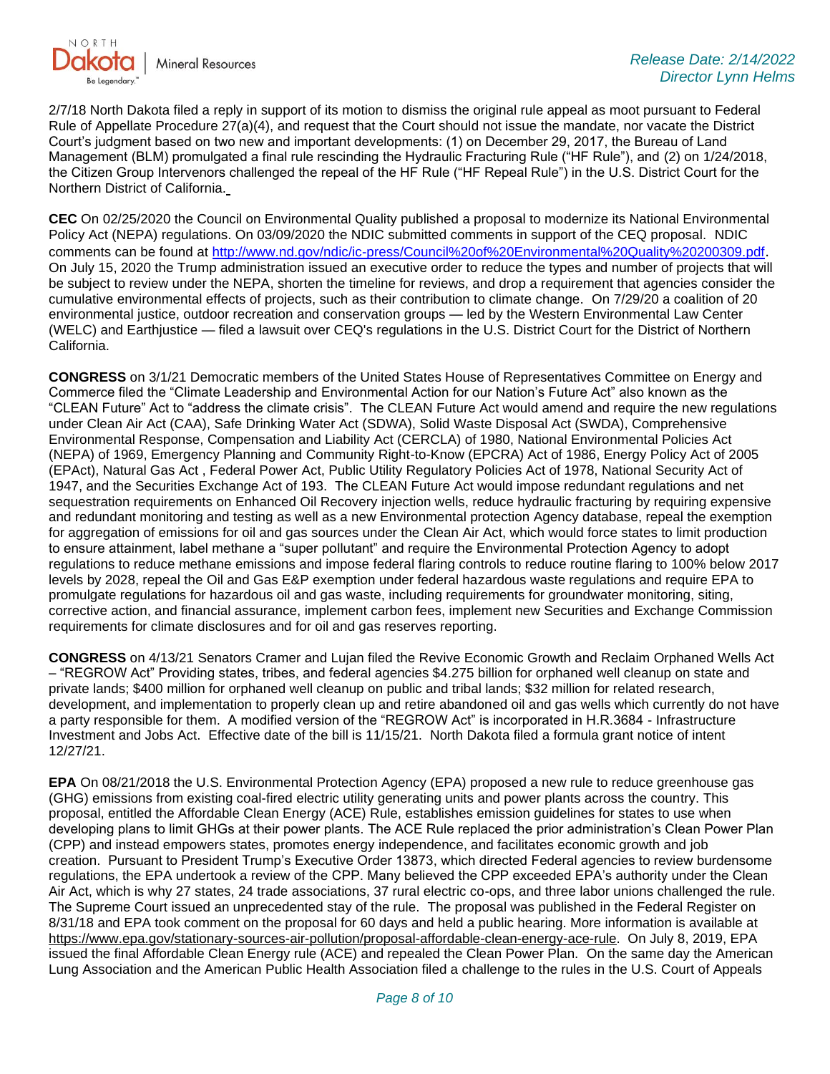

2/7/18 North Dakota filed a reply in support of its motion to dismiss the original rule appeal as moot pursuant to Federal Rule of Appellate Procedure 27(a)(4), and request that the Court should not issue the mandate, nor vacate the District Court's judgment based on two new and important developments: (1) on December 29, 2017, the Bureau of Land Management (BLM) promulgated a final rule rescinding the Hydraulic Fracturing Rule ("HF Rule"), and (2) on 1/24/2018, the Citizen Group Intervenors challenged the repeal of the HF Rule ("HF Repeal Rule") in the U.S. District Court for the Northern District of California.

**CEC** On 02/25/2020 the Council on Environmental Quality published a proposal to modernize its National Environmental Policy Act (NEPA) regulations. On 03/09/2020 the NDIC submitted comments in support of the CEQ proposal. NDIC comments can be found at<http://www.nd.gov/ndic/ic-press/Council%20of%20Environmental%20Quality%20200309.pdf>. On July 15, 2020 the Trump administration issued an executive order to reduce the types and number of projects that will be subject to review under the NEPA, shorten the timeline for reviews, and drop a requirement that agencies consider the cumulative environmental effects of projects, such as their contribution to climate change. On 7/29/20 a coalition of 20 environmental justice, outdoor recreation and conservation groups — led by the Western Environmental Law Center (WELC) and Earthjustice — filed a lawsuit over CEQ's regulations in the U.S. District Court for the District of Northern California.

**CONGRESS** on 3/1/21 Democratic members of the United States House of Representatives Committee on Energy and Commerce filed the "Climate Leadership and Environmental Action for our Nation's Future Act" also known as the "CLEAN Future" Act to "address the climate crisis". The CLEAN Future Act would amend and require the new regulations under Clean Air Act (CAA), Safe Drinking Water Act (SDWA), Solid Waste Disposal Act (SWDA), Comprehensive Environmental Response, Compensation and Liability Act (CERCLA) of 1980, National Environmental Policies Act (NEPA) of 1969, Emergency Planning and Community Right-to-Know (EPCRA) Act of 1986, Energy Policy Act of 2005 (EPAct), Natural Gas Act , Federal Power Act, Public Utility Regulatory Policies Act of 1978, National Security Act of 1947, and the Securities Exchange Act of 193. The CLEAN Future Act would impose redundant regulations and net sequestration requirements on Enhanced Oil Recovery injection wells, reduce hydraulic fracturing by requiring expensive and redundant monitoring and testing as well as a new Environmental protection Agency database, repeal the exemption for aggregation of emissions for oil and gas sources under the Clean Air Act, which would force states to limit production to ensure attainment, label methane a "super pollutant" and require the Environmental Protection Agency to adopt regulations to reduce methane emissions and impose federal flaring controls to reduce routine flaring to 100% below 2017 levels by 2028, repeal the Oil and Gas E&P exemption under federal hazardous waste regulations and require EPA to promulgate regulations for hazardous oil and gas waste, including requirements for groundwater monitoring, siting, corrective action, and financial assurance, implement carbon fees, implement new Securities and Exchange Commission requirements for climate disclosures and for oil and gas reserves reporting.

**CONGRESS** on 4/13/21 Senators Cramer and Lujan filed the Revive Economic Growth and Reclaim Orphaned Wells Act – "REGROW Act" Providing states, tribes, and federal agencies \$4.275 billion for orphaned well cleanup on state and private lands; \$400 million for orphaned well cleanup on public and tribal lands; \$32 million for related research, development, and implementation to properly clean up and retire abandoned oil and gas wells which currently do not have a party responsible for them. A modified version of the "REGROW Act" is incorporated in H.R.3684 - Infrastructure Investment and Jobs Act. Effective date of the bill is 11/15/21. North Dakota filed a formula grant notice of intent 12/27/21.

**EPA** On 08/21/2018 the U.S. Environmental Protection Agency (EPA) proposed a new rule to reduce greenhouse gas (GHG) emissions from existing coal-fired electric utility generating units and power plants across the country. This proposal, entitled the Affordable Clean Energy (ACE) Rule, establishes emission guidelines for states to use when developing plans to limit GHGs at their power plants. The ACE Rule replaced the prior administration's Clean Power Plan (CPP) and instead empowers states, promotes energy independence, and facilitates economic growth and job creation. Pursuant to President Trump's Executive Order 13873, which directed Federal agencies to review burdensome regulations, the EPA undertook a review of the CPP. Many believed the CPP exceeded EPA's authority under the Clean Air Act, which is why 27 states, 24 trade associations, 37 rural electric co-ops, and three labor unions challenged the rule. The Supreme Court issued an unprecedented stay of the rule. The proposal was published in the Federal Register on 8/31/18 and EPA took comment on the proposal for 60 days and held a public hearing. More information is available at [https://www.epa.gov/stationary-sources-air-pollution/proposal-affordable-clean-energy-ace-rule.](https://gcc02.safelinks.protection.outlook.com/?url=https%3A%2F%2Fwww.epa.gov%2Fstationary-sources-air-pollution%2Fproposal-affordable-clean-energy-ace-rule&data=04%7C01%7Ckahaarsager%40nd.gov%7C2843a5ddf6fa49f952aa08d9efd07d36%7C2dea0464da514a88bae2b3db94bc0c54%7C0%7C0%7C637804501028737375%7CUnknown%7CTWFpbGZsb3d8eyJWIjoiMC4wLjAwMDAiLCJQIjoiV2luMzIiLCJBTiI6Ik1haWwiLCJXVCI6Mn0%3D%7C3000&sdata=g1gpRnN3RF1c0VQRNoB3GXl926uwTGhZkqHAk%2FSlmbk%3D&reserved=0) On July 8, 2019, EPA issued the final Affordable Clean Energy rule (ACE) and repealed the Clean Power Plan. On the same day the American Lung Association and the American Public Health Association filed a challenge to the rules in the U.S. Court of Appeals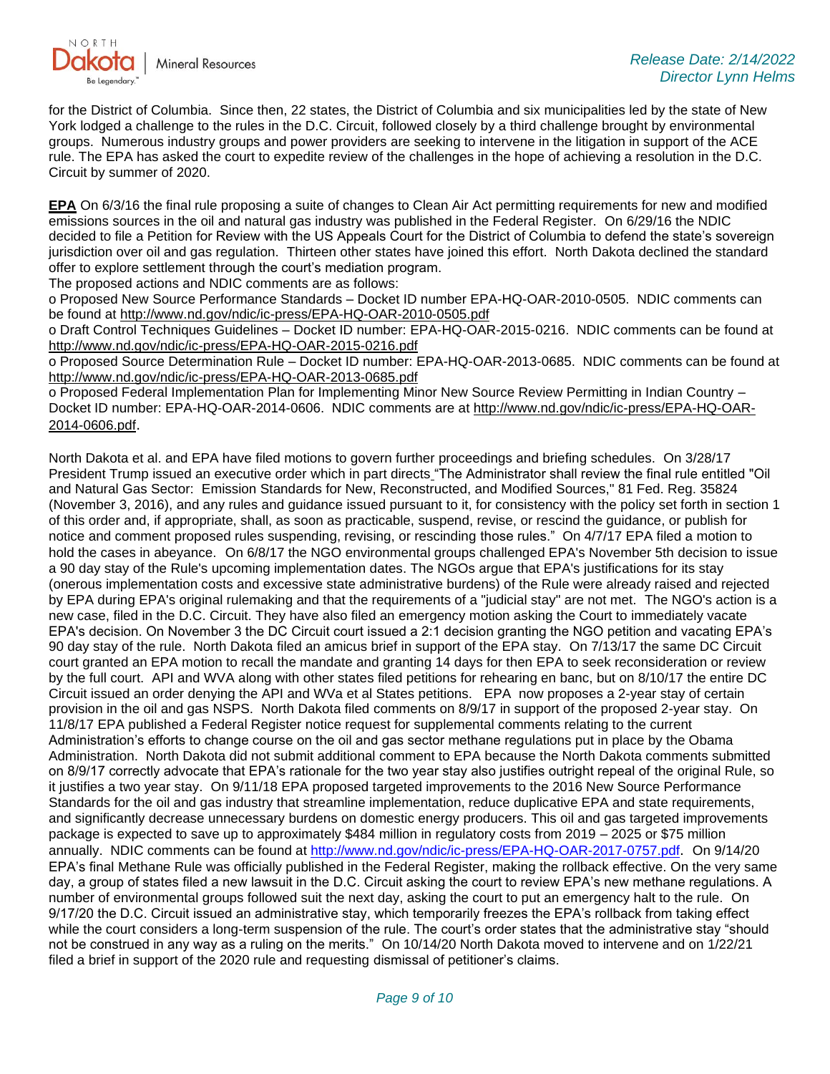

for the District of Columbia. Since then, 22 states, the District of Columbia and six municipalities led by the state of New York lodged a challenge to the rules in the D.C. Circuit, followed closely by a third challenge brought by environmental groups. Numerous industry groups and power providers are seeking to intervene in the litigation in support of the ACE rule. The EPA has asked the court to expedite review of the challenges in the hope of achieving a resolution in the D.C. Circuit by summer of 2020.

**EPA** On 6/3/16 the final rule proposing a suite of changes to Clean Air Act permitting requirements for new and modified emissions sources in the oil and natural gas industry was published in the Federal Register. On 6/29/16 the NDIC decided to file a Petition for Review with the US Appeals Court for the District of Columbia to defend the state's sovereign jurisdiction over oil and gas regulation. Thirteen other states have joined this effort. North Dakota declined the standard offer to explore settlement through the court's mediation program.

The proposed actions and NDIC comments are as follows:

o Proposed New Source Performance Standards – Docket ID number EPA-HQ-OAR-2010-0505. NDIC comments can be found at<http://www.nd.gov/ndic/ic-press/EPA-HQ-OAR-2010-0505.pdf>

o Draft Control Techniques Guidelines – Docket ID number: EPA-HQ-OAR-2015-0216. NDIC comments can be found at <http://www.nd.gov/ndic/ic-press/EPA-HQ-OAR-2015-0216.pdf>

o Proposed Source Determination Rule – Docket ID number: EPA-HQ-OAR-2013-0685. NDIC comments can be found at <http://www.nd.gov/ndic/ic-press/EPA-HQ-OAR-2013-0685.pdf>

o Proposed Federal Implementation Plan for Implementing Minor New Source Review Permitting in Indian Country – Docket ID number: EPA-HQ-OAR-2014-0606. NDIC comments are at [http://www.nd.gov/ndic/ic-press/EPA-HQ-OAR-](http://www.nd.gov/ndic/ic-press/EPA-HQ-OAR-2014-0606.pdf)[2014-0606.pdf](http://www.nd.gov/ndic/ic-press/EPA-HQ-OAR-2014-0606.pdf).

North Dakota et al. and EPA have filed motions to govern further proceedings and briefing schedules. On 3/28/17 President Trump issued an executive order which in part directs "The Administrator shall review the final rule entitled "Oil and Natural Gas Sector: Emission Standards for New, Reconstructed, and Modified Sources," 81 Fed. Reg. 35824 (November 3, 2016), and any rules and guidance issued pursuant to it, for consistency with the policy set forth in section 1 of this order and, if appropriate, shall, as soon as practicable, suspend, revise, or rescind the guidance, or publish for notice and comment proposed rules suspending, revising, or rescinding those rules." On 4/7/17 EPA filed a motion to hold the cases in abeyance. On 6/8/17 the NGO environmental groups challenged EPA's November 5th decision to issue a 90 day stay of the Rule's upcoming implementation dates. The NGOs argue that EPA's justifications for its stay (onerous implementation costs and excessive state administrative burdens) of the Rule were already raised and rejected by EPA during EPA's original rulemaking and that the requirements of a "judicial stay" are not met. The NGO's action is a new case, filed in the D.C. Circuit. They have also filed an emergency motion asking the Court to immediately vacate EPA's decision. On November 3 the DC Circuit court issued a 2:1 decision granting the NGO petition and vacating EPA's 90 day stay of the rule. North Dakota filed an amicus brief in support of the EPA stay. On 7/13/17 the same DC Circuit court granted an EPA motion to recall the mandate and granting 14 days for then EPA to seek reconsideration or review by the full court. API and WVA along with other states filed petitions for rehearing en banc, but on 8/10/17 the entire DC Circuit issued an order denying the API and WVa et al States petitions. EPA now proposes a 2-year stay of certain provision in the oil and gas NSPS. North Dakota filed comments on 8/9/17 in support of the proposed 2-year stay. On 11/8/17 EPA published a Federal Register notice request for supplemental comments relating to the current Administration's efforts to change course on the oil and gas sector methane regulations put in place by the Obama Administration. North Dakota did not submit additional comment to EPA because the North Dakota comments submitted on 8/9/17 correctly advocate that EPA's rationale for the two year stay also justifies outright repeal of the original Rule, so it justifies a two year stay. On 9/11/18 EPA proposed targeted improvements to the 2016 New Source Performance Standards for the oil and gas industry that streamline implementation, reduce duplicative EPA and state requirements, and significantly decrease unnecessary burdens on domestic energy producers. This oil and gas targeted improvements package is expected to save up to approximately \$484 million in regulatory costs from 2019 – 2025 or \$75 million annually. NDIC comments can be found at<http://www.nd.gov/ndic/ic-press/EPA-HQ-OAR-2017-0757.pdf>. On 9/14/20 EPA's final Methane Rule was officially published in the Federal Register, making the rollback effective. On the very same day, a group of states filed a new lawsuit in the D.C. Circuit asking the court to review EPA's new methane regulations. A number of environmental groups followed suit the next day, asking the court to put an emergency halt to the rule. On 9/17/20 the D.C. Circuit issued an administrative stay, which temporarily freezes the EPA's rollback from taking effect while the court considers a long-term suspension of the rule. The court's order states that the administrative stay "should not be construed in any way as a ruling on the merits." On 10/14/20 North Dakota moved to intervene and on 1/22/21 filed a brief in support of the 2020 rule and requesting dismissal of petitioner's claims.